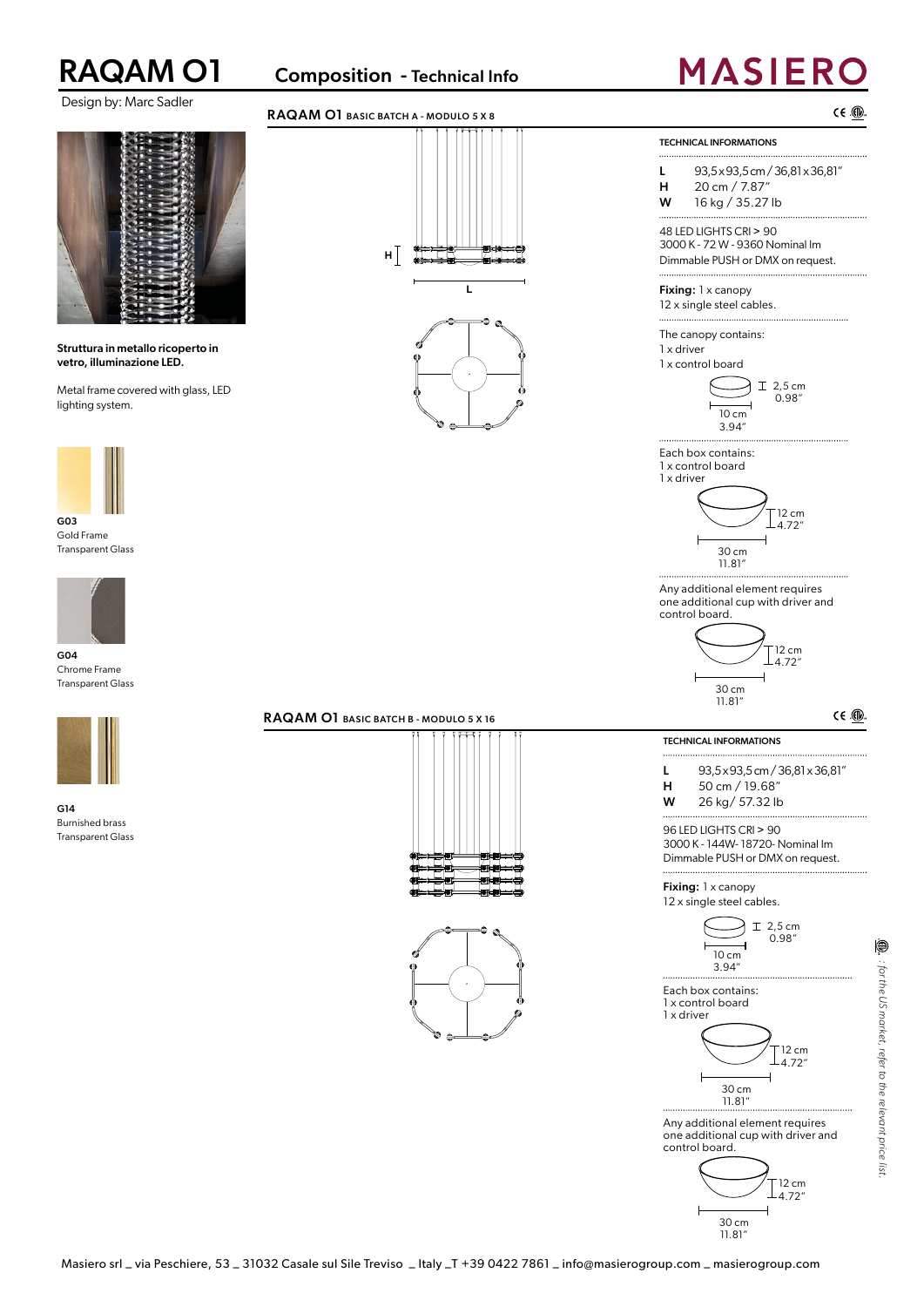

Design by: Marc Sadler

### RAQAM O1 Composition - Technical Info

## **MASIERO**





G04 Chrome Frame Transparent Glass



G14 Burnished brass Transparent Glass

### RAQAM O1 BASIC BATCH B - MODULO 5 X 16



**L**







Any additional element requires one additional cup with driver and control board.